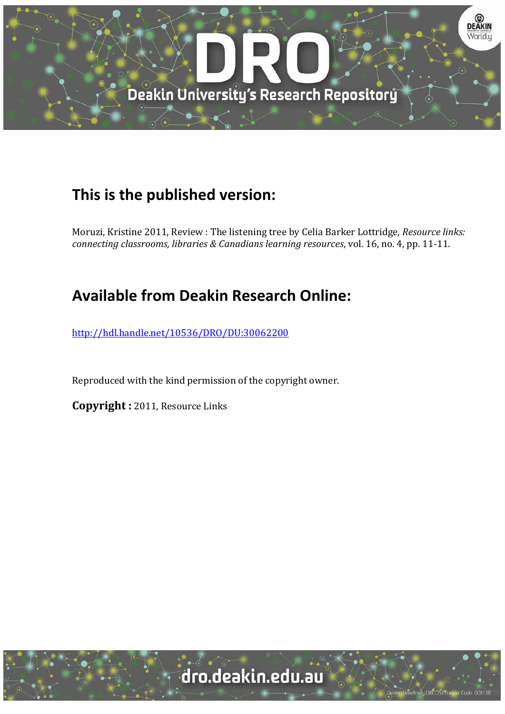

## **This is the published version:**

Moruzi, Kristine 2011, Review : The listening tree by Celia Barker Lottridge, Resource links: *connecting classrooms, libraries & Canadians learning resources*, vol. 16, no. 4, pp. 11‐11. 

## **Available from Deakin Research Online:**

http://hdl.handle.net/10536/DRO/DU:30062200

Reproduced with the kind permission of the copyright owner.

**Copyright**: 2011, Resource Links